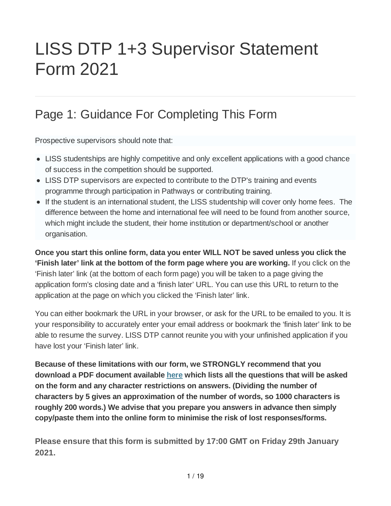# LISS DTP 1+3 Supervisor Statement Form 2021

# Page 1: Guidance For Completing This Form

Prospective supervisors should note that:

- LISS studentships are highly competitive and only excellent applications with a good chance of success in the competition should be supported.
- LISS DTP supervisors are expected to contribute to the DTP's training and events programme through participation in Pathways or contributing training.
- If the student is an international student, the LISS studentship will cover only home fees. The difference between the home and international fee will need to be found from another source, which might include the student, their home institution or department/school or another organisation.

**Once you start this online form, data you enter WILL NOT be saved unless you click the 'Finish later' link at the bottom of the form page where you are working.** If you click on the 'Finish later' link (at the bottom of each form page) you will be taken to a page giving the application form's closing date and a 'finish later' URL. You can use this URL to return to the application at the page on which you clicked the 'Finish later' link.

You can either bookmark the URL in your browser, or ask for the URL to be emailed to you. It is your responsibility to accurately enter your email address or bookmark the 'finish later' link to be able to resume the survey. LISS DTP cannot reunite you with your unfinished application if you have lost your 'Finish later' link.

**Because of these limitations with our form, we STRONGLY recommend that you download a PDF document available here which lists all the questions that will be asked on the form and any character restrictions on answers. (Dividing the number of characters by 5 gives an approximation of the number of words, so 1000 characters is roughly 200 words.) We advise that you prepare you answers in advance then simply copy/paste them into the online form to minimise the risk of lost responses/forms.**

**Please ensure that this form is submitted by 17:00 GMT on Friday 29th January 2021.**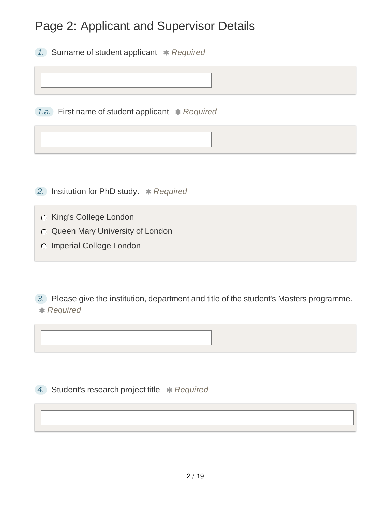# Page 2: Applicant and Supervisor Details

*1.* Surname of student applicant *Required*

*1.a.* First name of student applicant *Required*

**2.** Institution for PhD study. **\*** Required

King's College London

Queen Mary University of London

**C** Imperial College London

*3.* Please give the institution, department and title of the student's Masters programme. *Required*

4. Student's research project title \* Required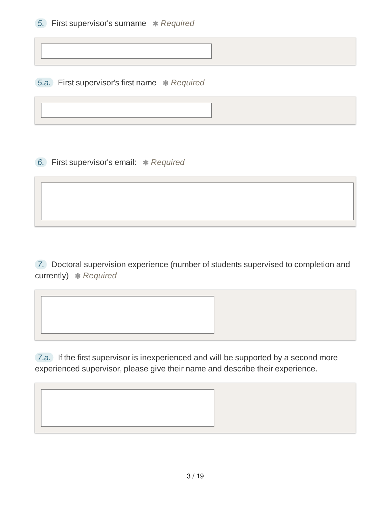*5.a.* First supervisor's first name \* Required

**6.** First supervisor's email: \* Required

*7.* Doctoral supervision experience (number of students supervised to completion and currently) **\*** Required

*7.a.* If the first supervisor is inexperienced and will be supported by a second more experienced supervisor, please give their name and describe their experience.

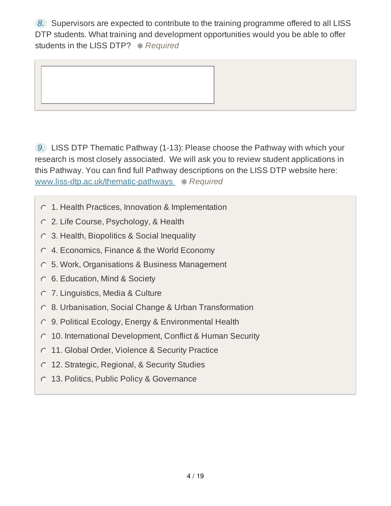*8.* Supervisors are expected to contribute to the training programme offered to all LISS DTP students. What training and development opportunities would you be able to offer students in the LISS DTP? *Required*

*9.* LISS DTP Thematic Pathway (1-13): Please choose the Pathway with which your research is most closely associated. We will ask you to review student applications in this Pathway. You can find full Pathway descriptions on the LISS DTP website here: www.liss-dtp.ac.uk/thematic-pathways **\*** Required

- 1. Health Practices, Innovation & Implementation
- 2. Life Course, Psychology, & Health
- 3. Health, Biopolitics & Social Inequality
- 4. Economics, Finance & the World Economy
- 5. Work, Organisations & Business Management
- 6. Education, Mind & Society
- 7. Linguistics, Media & Culture
- 8. Urbanisation, Social Change & Urban Transformation
- 9. Political Ecology, Energy & Environmental Health
- 10. International Development, Conflict & Human Security
- **11. Global Order, Violence & Security Practice**
- **12. Strategic, Regional, & Security Studies**
- **13. Politics, Public Policy & Governance**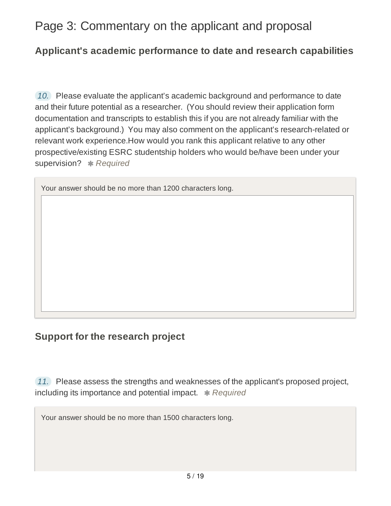## Page 3: Commentary on the applicant and proposal

#### **Applicant's academic performance to date and research capabilities**

*10.* Please evaluate the applicant's academic background and performance to date and their future potential as a researcher. (You should review their application form documentation and transcripts to establish this if you are not already familiar with the applicant's background.) You may also comment on the applicant's research-related or relevant work experience.How would you rank this applicant relative to any other prospective/existing ESRC studentship holders who would be/have been under your supervision? **\*** Required

Your answer should be no more than 1200 characters long.

### **Support for the research project**

*11.* Please assess the strengths and weaknesses of the applicant's proposed project, including its importance and potential impact. **\*** Required

Your answer should be no more than 1500 characters long.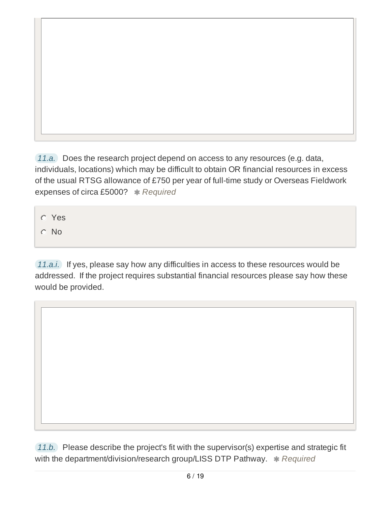*11.a.* Does the research project depend on access to any resources (e.g. data, individuals, locations) which may be difficult to obtain OR financial resources in excess of the usual RTSG allowance of £750 per year of full-time study or Overseas Fieldwork expenses of circa £5000? \* Required

Yes

C No

*11.a.i.* If yes, please say how any difficulties in access to these resources would be addressed. If the project requires substantial financial resources please say how these would be provided.

*11.b.* Please describe the project's fit with the supervisor(s) expertise and strategic fit with the department/division/research group/LISS DTP Pathway.  $*$  Required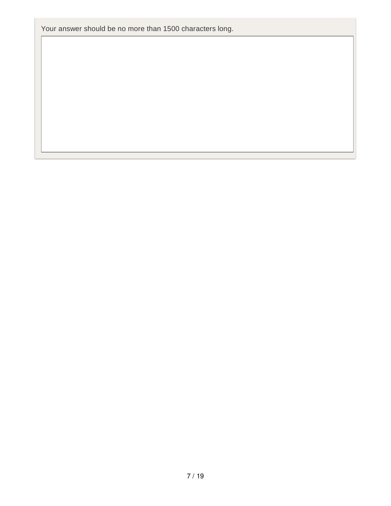Your answer should be no more than 1500 characters long.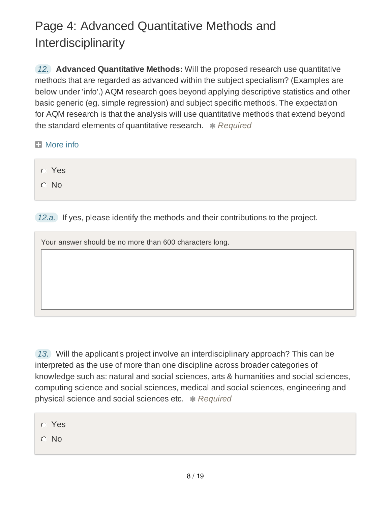# Page 4: Advanced Quantitative Methods and Interdisciplinarity

*12.* **Advanced Quantitative Methods:** Will the proposed research use quantitative methods that are regarded as advanced within the subject specialism? (Examples are below under 'info'.) AQM research goes beyond applying descriptive statistics and other basic generic (eg. simple regression) and subject specific methods. The expectation for AQM research is that the analysis will use quantitative methods that extend beyond the standard elements of quantitative research. \* Required

- **El** More info
	- Yes C No

*12.a.* If yes, please identify the methods and their contributions to the project.

Your answer should be no more than 600 characters long.

*13.* Will the applicant's project involve an interdisciplinary approach? This can be interpreted as the use of more than one discipline across broader categories of knowledge such as: natural and social sciences, arts & humanities and social sciences, computing science and social sciences, medical and social sciences, engineering and physical science and social sciences etc. *Required*

- Yes
- No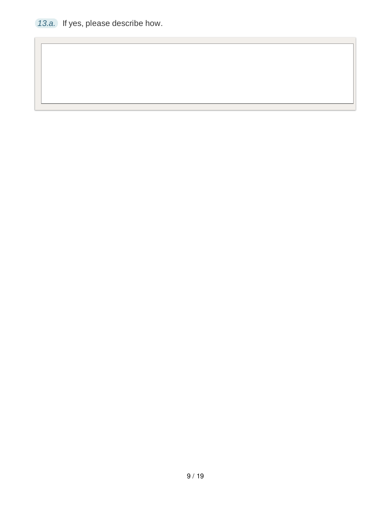*13.a.* If yes, please describe how.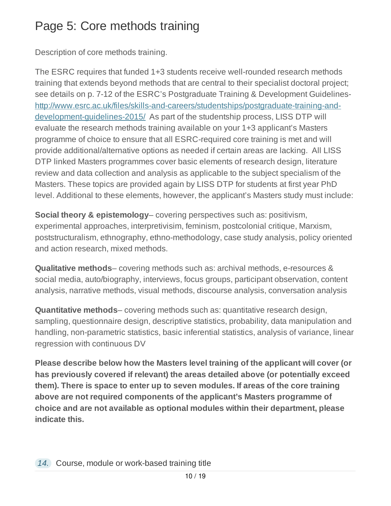# Page 5: Core methods training

Description of core methods training.

The ESRC requires that funded 1+3 students receive well-rounded research methods training that extends beyond methods that are central to their specialist doctoral project; see details on p. 7-12 of the ESRC's Postgraduate Training & Development Guidelineshttp://www.esrc.ac.uk/files/skills-and-careers/studentships/postgraduate-training-anddevelopment-guidelines-2015/ As part of the studentship process, LISS DTP will evaluate the research methods training available on your 1+3 applicant's Masters programme of choice to ensure that all ESRC-required core training is met and will provide additional/alternative options as needed if certain areas are lacking. All LISS DTP linked Masters programmes cover basic elements of research design, literature review and data collection and analysis as applicable to the subject specialism of the Masters. These topics are provided again by LISS DTP for students at first year PhD level. Additional to these elements, however, the applicant's Masters study must include:

**Social theory & epistemology**– covering perspectives such as: positivism, experimental approaches, interpretivisim, feminism, postcolonial critique, Marxism, poststructuralism, ethnography, ethno-methodology, case study analysis, policy oriented and action research, mixed methods.

**Qualitative methods**– covering methods such as: archival methods, e-resources & social media, auto/biography, interviews, focus groups, participant observation, content analysis, narrative methods, visual methods, discourse analysis, conversation analysis

**Quantitative methods**– covering methods such as: quantitative research design, sampling, questionnaire design, descriptive statistics, probability, data manipulation and handling, non-parametric statistics, basic inferential statistics, analysis of variance, linear regression with continuous DV

**Please describe below how the Masters level training of the applicant will cover (or has previously covered if relevant) the areas detailed above (or potentially exceed them). There is space to enter up to seven modules. If areas of the core training above are not required components of the applicant's Masters programme of choice and are not available as optional modules within their department, please indicate this.**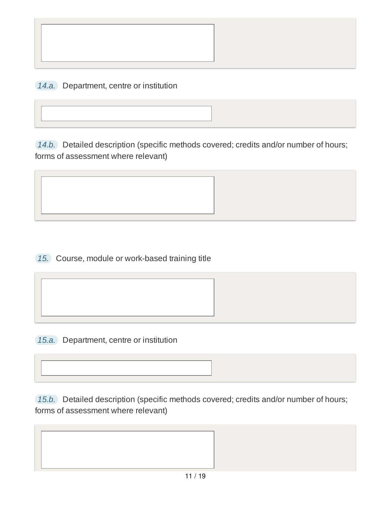*14.a.* Department, centre or institution

*14.b.* Detailed description (specific methods covered; credits and/or number of hours; forms of assessment where relevant)



*15.* Course, module or work-based training title



*15.a.* Department, centre or institution

*15.b.* Detailed description (specific methods covered; credits and/or number of hours; forms of assessment where relevant)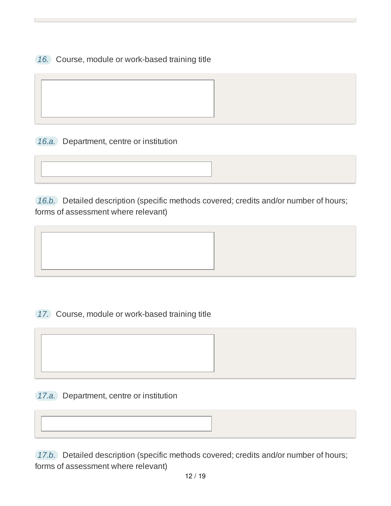*16.* Course, module or work-based training title

*16.a.* Department, centre or institution

*16.b.* Detailed description (specific methods covered; credits and/or number of hours; forms of assessment where relevant)





*17.a.* Department, centre or institution

*17.b.* Detailed description (specific methods covered; credits and/or number of hours; forms of assessment where relevant)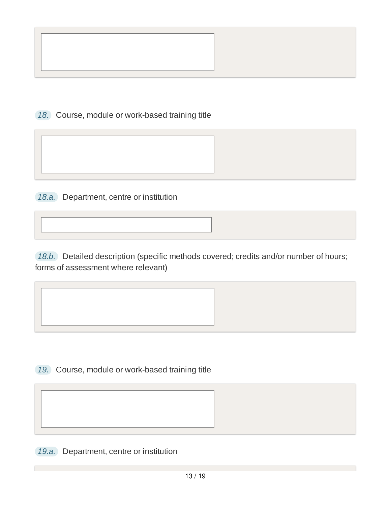

*18.* Course, module or work-based training title

*18.a.* Department, centre or institution

*18.b.* Detailed description (specific methods covered; credits and/or number of hours; forms of assessment where relevant)



*19.* Course, module or work-based training title

*19.a.* Department, centre or institution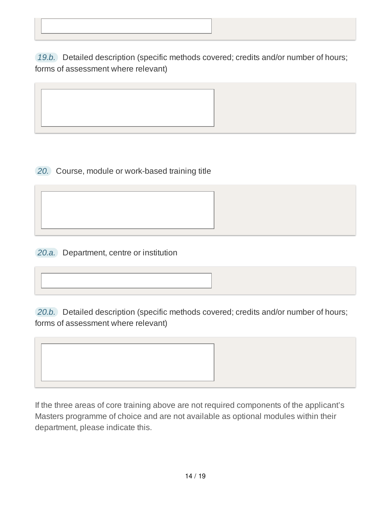*19.b.* Detailed description (specific methods covered; credits and/or number of hours; forms of assessment where relevant)

*20.* Course, module or work-based training title

*20.a.* Department, centre or institution

*20.b.* Detailed description (specific methods covered; credits and/or number of hours; forms of assessment where relevant)

If the three areas of core training above are not required components of the applicant's Masters programme of choice and are not available as optional modules within their department, please indicate this.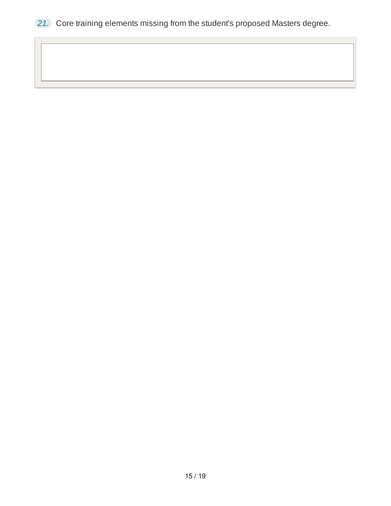*21.* Core training elements missing from the student's proposed Masters degree.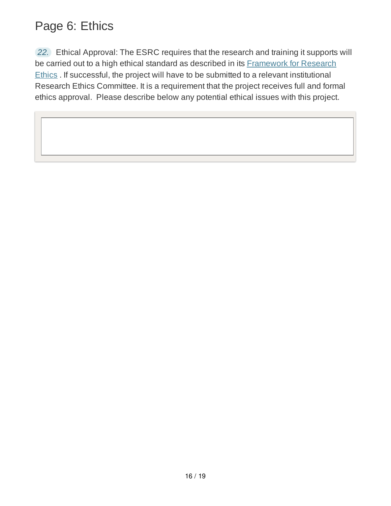# Page 6: Ethics

*22.* Ethical Approval: The ESRC requires that the research and training it supports will be carried out to a high ethical standard as described in its **Framework for Research** Ethics . If successful, the project will have to be submitted to a relevant institutional Research Ethics Committee. It is a requirement that the project receives full and formal ethics approval. Please describe below any potential ethical issues with this project.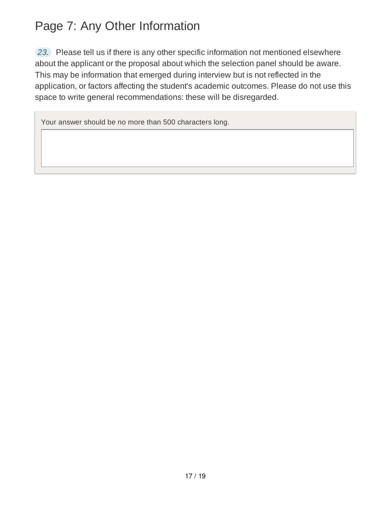# Page 7: Any Other Information

*23.* Please tell us if there is any other specific information not mentioned elsewhere about the applicant or the proposal about which the selection panel should be aware. This may be information that emerged during interview but is not reflected in the application, or factors affecting the student's academic outcomes. Please do not use this space to write general recommendations: these will be disregarded.

Your answer should be no more than 500 characters long.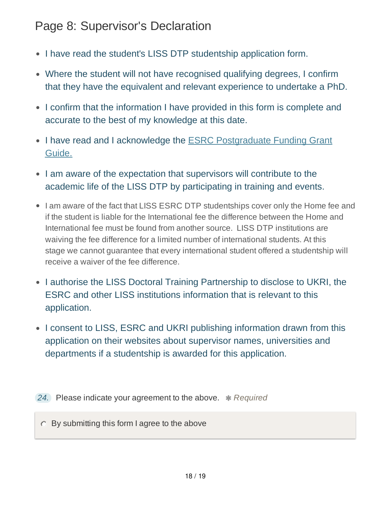## Page 8: Supervisor's Declaration

- I have read the student's LISS DTP studentship application form.
- Where the student will not have recognised qualifying degrees, I confirm that they have the equivalent and relevant experience to undertake a PhD.
- I confirm that the information I have provided in this form is complete and accurate to the best of my knowledge at this date.
- I have read and I acknowledge the ESRC Postgraduate Funding Grant Guide.
- I am aware of the expectation that supervisors will contribute to the academic life of the LISS DTP by participating in training and events.
- I am aware of the fact that LISS ESRC DTP studentships cover only the Home fee and if the student is liable for the International fee the difference between the Home and International fee must be found from another source. LISS DTP institutions are waiving the fee difference for a limited number of international students. At this stage we cannot guarantee that every international student offered a studentship will receive a waiver of the fee difference.
- I authorise the LISS Doctoral Training Partnership to disclose to UKRI, the ESRC and other LISS institutions information that is relevant to this application.
- I consent to LISS, ESRC and UKRI publishing information drawn from this application on their websites about supervisor names, universities and departments if a studentship is awarded for this application.

**24.** Please indicate your agreement to the above. *\* Required* 

By submitting this form I agree to the above